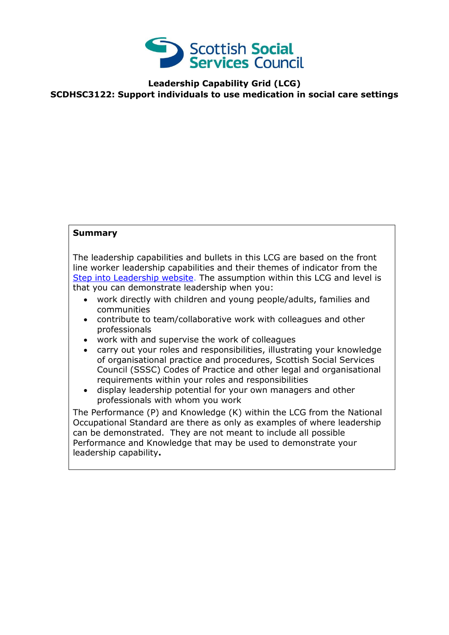

## **Leadership Capability Grid (LCG) SCDHSC3122: Support individuals to use medication in social care settings**

#### **Summary**

The leadership capabilities and bullets in this LCG are based on the front line worker leadership capabilities and their themes of indicator from the [Step into Leadership website.](http://www.stepintoleadership.info/) The assumption within this LCG and level is that you can demonstrate leadership when you:

- work directly with children and young people/adults, families and communities
- contribute to team/collaborative work with colleagues and other professionals
- work with and supervise the work of colleagues
- carry out your roles and responsibilities, illustrating your knowledge of organisational practice and procedures, Scottish Social Services Council (SSSC) Codes of Practice and other legal and organisational requirements within your roles and responsibilities
- display leadership potential for your own managers and other professionals with whom you work

The Performance (P) and Knowledge (K) within the LCG from the National Occupational Standard are there as only as examples of where leadership can be demonstrated. They are not meant to include all possible Performance and Knowledge that may be used to demonstrate your leadership capability**.**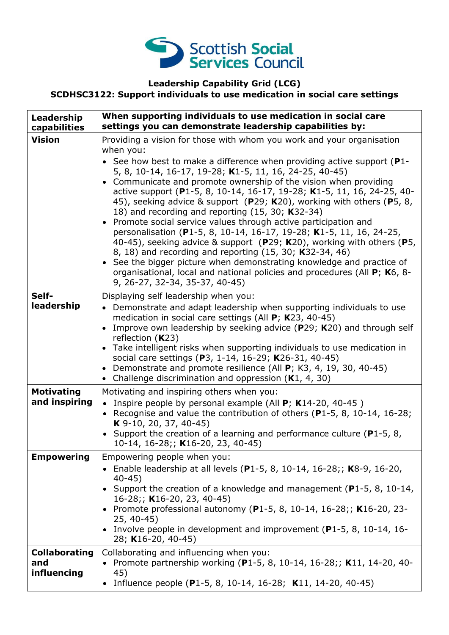

### **Leadership Capability Grid (LCG)**

# **SCDHSC3122: Support individuals to use medication in social care settings**

| Leadership<br>capabilities                 | When supporting individuals to use medication in social care<br>settings you can demonstrate leadership capabilities by:                                                                                                                                                                                                                                                                                                                                                                                                                                                                                                                                                                                                                                                                                                                                                                                                                                                                |
|--------------------------------------------|-----------------------------------------------------------------------------------------------------------------------------------------------------------------------------------------------------------------------------------------------------------------------------------------------------------------------------------------------------------------------------------------------------------------------------------------------------------------------------------------------------------------------------------------------------------------------------------------------------------------------------------------------------------------------------------------------------------------------------------------------------------------------------------------------------------------------------------------------------------------------------------------------------------------------------------------------------------------------------------------|
| <b>Vision</b>                              | Providing a vision for those with whom you work and your organisation<br>when you:<br>• See how best to make a difference when providing active support ( $P1$ -<br>5, 8, 10-14, 16-17, 19-28; K1-5, 11, 16, 24-25, 40-45)<br>• Communicate and promote ownership of the vision when providing<br>active support (P1-5, 8, 10-14, 16-17, 19-28; K1-5, 11, 16, 24-25, 40-<br>45), seeking advice & support (P29; K20), working with others (P5, 8,<br>18) and recording and reporting $(15, 30; K32-34)$<br>Promote social service values through active participation and<br>$\bullet$<br>personalisation (P1-5, 8, 10-14, 16-17, 19-28; K1-5, 11, 16, 24-25,<br>40-45), seeking advice & support (P29; K20), working with others (P5,<br>8, 18) and recording and reporting (15, 30; K32-34, 46)<br>See the bigger picture when demonstrating knowledge and practice of<br>organisational, local and national policies and procedures (All P; K6, 8-<br>9, 26-27, 32-34, 35-37, 40-45) |
| Self-<br>leadership                        | Displaying self leadership when you:<br>• Demonstrate and adapt leadership when supporting individuals to use<br>medication in social care settings (All P; K23, 40-45)<br>Improve own leadership by seeking advice (P29; K20) and through self<br>reflection $(K23)$<br>• Take intelligent risks when supporting individuals to use medication in<br>social care settings (P3, 1-14, 16-29; K26-31, 40-45)<br>• Demonstrate and promote resilience (All P; K3, 4, 19, 30, 40-45)<br>• Challenge discrimination and oppression $(K1, 4, 30)$                                                                                                                                                                                                                                                                                                                                                                                                                                            |
| <b>Motivating</b><br>and inspiring         | Motivating and inspiring others when you:<br>• Inspire people by personal example (All $P$ ; K14-20, 40-45)<br>• Recognise and value the contribution of others (P1-5, 8, 10-14, 16-28;<br>$K$ 9-10, 20, 37, 40-45)<br>• Support the creation of a learning and performance culture ( $P1-5$ , 8,<br>10-14, 16-28;; K16-20, 23, 40-45)                                                                                                                                                                                                                                                                                                                                                                                                                                                                                                                                                                                                                                                  |
| <b>Empowering</b>                          | Empowering people when you:<br>• Enable leadership at all levels (P1-5, 8, 10-14, 16-28;; K8-9, 16-20,<br>$40 - 45$<br>Support the creation of a knowledge and management (P1-5, 8, 10-14,<br>$16-28$ ;; K16-20, 23, 40-45)<br>• Promote professional autonomy (P1-5, 8, 10-14, 16-28;; K16-20, 23-<br>$25, 40-45)$<br>• Involve people in development and improvement (P1-5, 8, 10-14, 16-<br>28; K16-20, 40-45)                                                                                                                                                                                                                                                                                                                                                                                                                                                                                                                                                                       |
| <b>Collaborating</b><br>and<br>influencing | Collaborating and influencing when you:<br>• Promote partnership working (P1-5, 8, 10-14, 16-28;; K11, 14-20, 40-<br>45)<br>• Influence people (P1-5, 8, 10-14, 16-28; K11, 14-20, 40-45)                                                                                                                                                                                                                                                                                                                                                                                                                                                                                                                                                                                                                                                                                                                                                                                               |